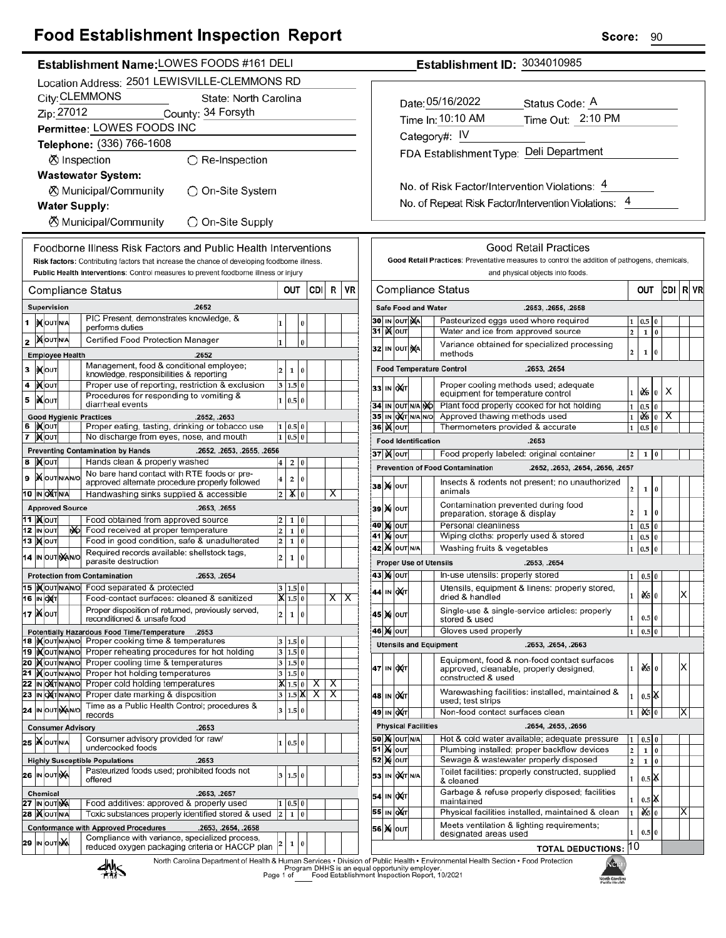## **Food Establishment Inspection Report**

|                                                 |                                                                                                                  |                                                                                                        |                 |                                |                                         |                               |           |                                                                                               |                                         |                                    |                     |  | ◡◡                                                                                                                                                          |  |  |  |  |
|-------------------------------------------------|------------------------------------------------------------------------------------------------------------------|--------------------------------------------------------------------------------------------------------|-----------------|--------------------------------|-----------------------------------------|-------------------------------|-----------|-----------------------------------------------------------------------------------------------|-----------------------------------------|------------------------------------|---------------------|--|-------------------------------------------------------------------------------------------------------------------------------------------------------------|--|--|--|--|
| Establishment Name: LOWES FOODS #161 DELI       |                                                                                                                  |                                                                                                        |                 |                                |                                         |                               |           |                                                                                               |                                         |                                    |                     |  | Establishment ID: 3034010985                                                                                                                                |  |  |  |  |
|                                                 |                                                                                                                  | Location Address: 2501 LEWISVILLE-CLEMMONS RD                                                          |                 |                                |                                         |                               |           |                                                                                               |                                         |                                    |                     |  |                                                                                                                                                             |  |  |  |  |
|                                                 | City: CLEMMONS                                                                                                   | State: North Carolina                                                                                  |                 |                                |                                         |                               |           |                                                                                               |                                         |                                    |                     |  |                                                                                                                                                             |  |  |  |  |
|                                                 |                                                                                                                  |                                                                                                        |                 |                                |                                         |                               |           |                                                                                               |                                         | Date: 05/16/2022<br>Status Code: A |                     |  |                                                                                                                                                             |  |  |  |  |
| Zip: 27012<br>County: 34 Forsyth                |                                                                                                                  |                                                                                                        |                 |                                |                                         |                               |           |                                                                                               | Time Out: 2:10 PM<br>Time In: 10:10 AM  |                                    |                     |  |                                                                                                                                                             |  |  |  |  |
| Permittee: LOWES FOODS INC                      |                                                                                                                  |                                                                                                        |                 |                                |                                         |                               |           |                                                                                               |                                         | Category#: IV                      |                     |  |                                                                                                                                                             |  |  |  |  |
| Telephone: (336) 766-1608                       |                                                                                                                  |                                                                                                        |                 |                                |                                         |                               |           |                                                                                               | FDA Establishment Type: Deli Department |                                    |                     |  |                                                                                                                                                             |  |  |  |  |
| <b>⊗</b> Inspection<br>$\bigcirc$ Re-Inspection |                                                                                                                  |                                                                                                        |                 |                                |                                         |                               |           |                                                                                               |                                         |                                    |                     |  |                                                                                                                                                             |  |  |  |  |
| <b>Wastewater System:</b>                       |                                                                                                                  |                                                                                                        |                 |                                |                                         |                               |           |                                                                                               |                                         |                                    |                     |  |                                                                                                                                                             |  |  |  |  |
|                                                 |                                                                                                                  | <b><math>\oslash</math> Municipal/Community</b><br>◯ On-Site System                                    |                 |                                |                                         |                               |           |                                                                                               |                                         |                                    |                     |  | No. of Risk Factor/Intervention Violations: 4                                                                                                               |  |  |  |  |
| <b>Water Supply:</b>                            |                                                                                                                  |                                                                                                        |                 |                                |                                         |                               |           |                                                                                               |                                         |                                    |                     |  | No. of Repeat Risk Factor/Intervention Violations: 4                                                                                                        |  |  |  |  |
| ⊗ Municipal/Community<br>◯ On-Site Supply       |                                                                                                                  |                                                                                                        |                 |                                |                                         |                               |           |                                                                                               |                                         |                                    |                     |  |                                                                                                                                                             |  |  |  |  |
|                                                 |                                                                                                                  |                                                                                                        |                 |                                |                                         |                               |           |                                                                                               |                                         |                                    |                     |  |                                                                                                                                                             |  |  |  |  |
|                                                 |                                                                                                                  | Foodborne Illness Risk Factors and Public Health Interventions                                         |                 |                                |                                         |                               |           |                                                                                               |                                         |                                    |                     |  | <b>Good Retail Practices</b>                                                                                                                                |  |  |  |  |
|                                                 |                                                                                                                  | Risk factors: Contributing factors that increase the chance of developing foodborne illness.           |                 |                                |                                         |                               |           | Good Retail Practices: Preventative measures to control the addition of pathogens, chemicals, |                                         |                                    |                     |  |                                                                                                                                                             |  |  |  |  |
|                                                 |                                                                                                                  | Public Health Interventions: Control measures to prevent foodborne illness or injury                   |                 |                                |                                         |                               |           | and physical objects into foods.                                                              |                                         |                                    |                     |  |                                                                                                                                                             |  |  |  |  |
|                                                 | <b>Compliance Status</b>                                                                                         |                                                                                                        |                 | OUT                            | CDI R                                   |                               | <b>VR</b> |                                                                                               |                                         |                                    |                     |  | CDI R VR<br><b>Compliance Status</b><br>OUT                                                                                                                 |  |  |  |  |
|                                                 | Supervision                                                                                                      | .2652                                                                                                  |                 |                                |                                         |                               |           |                                                                                               |                                         |                                    |                     |  | Safe Food and Water<br>.2653, .2655, .2658                                                                                                                  |  |  |  |  |
|                                                 |                                                                                                                  | PIC Present, demonstrates knowledge, &                                                                 |                 |                                |                                         |                               |           |                                                                                               |                                         |                                    | <b>30 IN OUT NA</b> |  | Pasteurized eggs used where required<br>1 0.5<br>$\bf{0}$                                                                                                   |  |  |  |  |
|                                                 | 1  XOUTNA                                                                                                        | performs duties                                                                                        |                 | 0                              |                                         |                               |           |                                                                                               | 31   <b>X</b> out                       |                                    |                     |  | Water and ice from approved source<br>$\overline{2}$<br>$\mathbf 1$<br>$\bf{0}$                                                                             |  |  |  |  |
|                                                 | 2 MOUTINA                                                                                                        | Certified Food Protection Manager                                                                      | $\mathbf{1}$    | $\bf{0}$                       |                                         |                               |           |                                                                                               |                                         |                                    | 32 IN OUT NA        |  | Variance obtained for specialized processing                                                                                                                |  |  |  |  |
|                                                 | <b>Employee Health</b>                                                                                           | .2652                                                                                                  |                 |                                |                                         |                               |           |                                                                                               |                                         |                                    |                     |  | 2<br>$\mathbf{1}$<br>$\bf{0}$<br>methods                                                                                                                    |  |  |  |  |
| 3                                               | <b>XOUT</b>                                                                                                      | Management, food & conditional employee;<br>knowledge, responsibilities & reporting                    | 2               | $\mathbf 1$<br> 0              |                                         |                               |           |                                                                                               |                                         |                                    |                     |  | <b>Food Temperature Control</b><br>.2653, .2654                                                                                                             |  |  |  |  |
| 4                                               | <b>XOUT</b>                                                                                                      | Proper use of reporting, restriction & exclusion                                                       |                 | 3   1.5   0                    |                                         |                               |           |                                                                                               | 33 IN OXT                               |                                    |                     |  | Proper cooling methods used; adequate                                                                                                                       |  |  |  |  |
| 5                                               | <b>XOUT</b>                                                                                                      | Procedures for responding to vomiting &                                                                |                 | 1   0.5   0                    |                                         |                               |           |                                                                                               |                                         |                                    |                     |  | $1 \times$<br>X<br>$\bf{0}$<br>equipment for temperature control                                                                                            |  |  |  |  |
|                                                 |                                                                                                                  | diarrheal events                                                                                       |                 |                                |                                         |                               |           |                                                                                               |                                         |                                    |                     |  | Plant food properly cooked for hot holding<br>34 IN OUT N/A NO<br>$1\vert 0.5$<br>$\overline{0}$<br>Approved thawing methods used                           |  |  |  |  |
|                                                 | <b>Good Hygienic Practices</b><br>6 IXOUT                                                                        | .2652, .2653<br>Proper eating, tasting, drinking or tobacco use                                        |                 | 1   0.5   0                    |                                         |                               |           |                                                                                               | 36 <b>K</b> OUT                         |                                    |                     |  | 35 IN OXT N/A N/O<br>$1 \mid \mathbf{0}$ $\mathbf{6} \mid \mathbf{0} \mid \mathbf{X}$<br>Thermometers provided & accurate<br>1 0.5<br>l 0                   |  |  |  |  |
| 7                                               | <b>X</b> out                                                                                                     | No discharge from eyes, nose, and mouth                                                                |                 | $1 \ 0.5 \ 0$                  |                                         |                               |           |                                                                                               |                                         |                                    |                     |  | <b>Food Identification</b><br>.2653                                                                                                                         |  |  |  |  |
|                                                 |                                                                                                                  | <b>Preventing Contamination by Hands</b><br>.2652, .2653, .2655, .2656                                 |                 |                                |                                         |                               |           |                                                                                               | 37   K   OUT                            |                                    |                     |  | Food properly labeled: original container<br>$\overline{2}$<br>$1 \vert 0$                                                                                  |  |  |  |  |
|                                                 | 8 MOUT                                                                                                           | Hands clean & properly washed                                                                          | $\vert 4 \vert$ | 2 0                            |                                         |                               |           |                                                                                               |                                         |                                    |                     |  | <b>Prevention of Food Contamination</b><br>.2652, .2653, .2654, .2656, .2657                                                                                |  |  |  |  |
| 9                                               | <b>XOUT NANO</b>                                                                                                 | No bare hand contact with RTE foods or pre-<br>approved alternate procedure properly followed          | $\overline{4}$  | 2 0                            |                                         |                               |           |                                                                                               |                                         |                                    |                     |  | Insects & rodents not present; no unauthorized                                                                                                              |  |  |  |  |
|                                                 | 10 IN OXTNA                                                                                                      | Handwashing sinks supplied & accessible                                                                | 2               | X 0                            |                                         | X                             |           |                                                                                               | <b>38 X OUT</b>                         |                                    |                     |  | $\overline{2}$<br>$\mathbf{1}$<br>$\bf{0}$<br>animals                                                                                                       |  |  |  |  |
|                                                 | <b>Approved Source</b>                                                                                           | .2653, .2655                                                                                           |                 |                                |                                         |                               |           |                                                                                               | 39 X OUT                                |                                    |                     |  | Contamination prevented during food                                                                                                                         |  |  |  |  |
|                                                 | 11   <b>M</b> OUT                                                                                                | Food obtained from approved source                                                                     | $\overline{2}$  | 10<br>1                        |                                         |                               |           |                                                                                               |                                         |                                    |                     |  | 2<br>$\mathbf{1}$<br>$\bf{0}$<br>preparation, storage & display                                                                                             |  |  |  |  |
|                                                 | 12 IN OUT<br>NO.                                                                                                 | Food received at proper temperature                                                                    | 2               | 1 0                            |                                         |                               |           |                                                                                               | <b>40 M OUT</b><br><b>41 MOUT</b>       |                                    |                     |  | Personal cleanliness<br>0.5<br>$\mathbf{1}$<br>$\bf{0}$<br>Wiping cloths: properly used & stored<br>1   0.5   0                                             |  |  |  |  |
|                                                 | 13 <b>MOUT</b>                                                                                                   | Food in good condition, safe & unadulterated                                                           | $\overline{2}$  | $1\overline{0}$                |                                         |                               |           |                                                                                               |                                         |                                    |                     |  | Washing fruits & vegetables<br>1 0.5<br>$\bf{0}$                                                                                                            |  |  |  |  |
|                                                 | Required records available: shellstock tags,<br>14 IN OUT NAINO<br>$\overline{2}$<br>1 0<br>parasite destruction |                                                                                                        |                 |                                |                                         |                               |           | <b>42 X</b> OUT N/A<br><b>Proper Use of Utensils</b><br>.2653, .2654                          |                                         |                                    |                     |  |                                                                                                                                                             |  |  |  |  |
|                                                 |                                                                                                                  | <b>Protection from Contamination</b><br>.2653, .2654                                                   |                 |                                |                                         |                               |           |                                                                                               | <b>43 Mout</b>                          |                                    |                     |  | In-use utensils: properly stored<br>0.5 0<br>1                                                                                                              |  |  |  |  |
|                                                 |                                                                                                                  | 15  Xout NANO Food separated & protected                                                               |                 | 3   1.5   0                    |                                         |                               |           |                                                                                               |                                         |                                    |                     |  | Utensils, equipment & linens: properly stored,                                                                                                              |  |  |  |  |
|                                                 | <b>16 IN OXT</b>                                                                                                 | Food-contact surfaces: cleaned & sanitized                                                             |                 | $\vert \mathbf{X} \vert$ 1.5 0 |                                         | $\overline{\mathsf{X}}$<br>X. |           |                                                                                               | 44 IN OXT                               |                                    |                     |  | $x = 0$<br>X<br>1<br>dried & handled                                                                                                                        |  |  |  |  |
|                                                 | 17 <b>Мо</b> ит                                                                                                  | Proper disposition of returned, previously served,                                                     | $\overline{2}$  | 1 0                            |                                         |                               |           |                                                                                               | 45 X OUT                                |                                    |                     |  | Single-use & single-service articles: properly<br>1                                                                                                         |  |  |  |  |
|                                                 |                                                                                                                  | reconditioned & unsafe food                                                                            |                 |                                |                                         |                               |           |                                                                                               |                                         |                                    |                     |  | 0.5 0<br>stored & used<br>Gloves used properly                                                                                                              |  |  |  |  |
|                                                 |                                                                                                                  | Potentially Hazardous Food Time/Temperature .2653<br>18   Nout NANO Proper cooking time & temperatures |                 | 3   1.5   0                    |                                         |                               |           |                                                                                               | 46 X OUT                                |                                    |                     |  | 1<br>0.5 0                                                                                                                                                  |  |  |  |  |
|                                                 |                                                                                                                  | 19 Xout NAVO Proper reheating procedures for hot holding                                               |                 | 3 1.5 0                        |                                         |                               |           |                                                                                               |                                         |                                    |                     |  | <b>Utensils and Equipment</b><br>.2653, .2654, .2663                                                                                                        |  |  |  |  |
|                                                 | 20 MOUTNANO                                                                                                      | Proper cooling time & temperatures                                                                     |                 | 3   1.5   0                    |                                         |                               |           |                                                                                               | 47 IN OXT                               |                                    |                     |  | Equipment, food & non-food contact surfaces<br>$\frac{d}{5}$ 0<br>X<br>1<br>approved, cleanable, properly designed,                                         |  |  |  |  |
|                                                 | 21   OUTNANO                                                                                                     | Proper hot holding temperatures                                                                        |                 | 3 1.5 0                        |                                         |                               |           |                                                                                               |                                         |                                    |                     |  | constructed & used                                                                                                                                          |  |  |  |  |
|                                                 | 22 IN OXTNANO<br>23 IN OXTNANO                                                                                   | Proper cold holding temperatures<br>Proper date marking & disposition                                  |                 | X[1.5]0<br>3 1.5 X             | $\mathsf{x}$<br>$\overline{\mathsf{x}}$ | X<br>$\overline{\mathsf{x}}$  |           |                                                                                               | 48 IN OXT                               |                                    |                     |  | Warewashing facilities: installed, maintained &<br>$\mathbf{1}$<br>$0.5$ $\mathbb{K}$                                                                       |  |  |  |  |
|                                                 | 24 IN OUT MANO                                                                                                   | Time as a Public Health Control; procedures &                                                          |                 | 3   1.5   0                    |                                         |                               |           |                                                                                               |                                         |                                    |                     |  | used; test strips                                                                                                                                           |  |  |  |  |
|                                                 |                                                                                                                  | records                                                                                                |                 |                                |                                         |                               |           |                                                                                               | 49 IN OXT                               |                                    |                     |  | Non-food contact surfaces clean<br>X<br>$\mathbf{1}$<br>0 \$10                                                                                              |  |  |  |  |
|                                                 | <b>Consumer Advisory</b>                                                                                         | .2653                                                                                                  |                 |                                |                                         |                               |           |                                                                                               |                                         |                                    |                     |  | <b>Physical Facilities</b><br>.2654, .2655, .2656                                                                                                           |  |  |  |  |
|                                                 | 25   NOUTNA                                                                                                      | Consumer advisory provided for raw/<br>undercooked foods                                               |                 | 1   0.5   0                    |                                         |                               |           |                                                                                               | <b>51 Ж</b> оит                         |                                    | <b>50 X</b> OUT N/A |  | Hot & cold water available; adequate pressure<br>$0.5$ 0<br>1<br>Plumbing installed; proper backflow devices<br>$\mathbf{2}$<br>$\mathbf{0}$<br>$\mathbf 1$ |  |  |  |  |
|                                                 |                                                                                                                  | <b>Highly Susceptible Populations</b><br>.2653                                                         |                 |                                |                                         |                               |           |                                                                                               | <b>52 MOUT</b>                          |                                    |                     |  | Sewage & wastewater properly disposed<br>$\overline{2}$<br>$1\overline{0}$                                                                                  |  |  |  |  |
|                                                 | 26 IN OUT NA                                                                                                     | Pasteurized foods used; prohibited foods not                                                           |                 | 3   1.5   0                    |                                         |                               |           | 53                                                                                            |                                         |                                    | IN OXT N/A          |  | Toilet facilities: properly constructed, supplied<br>$0.5$ $\chi$                                                                                           |  |  |  |  |
|                                                 |                                                                                                                  | offered                                                                                                |                 |                                |                                         |                               |           |                                                                                               |                                         |                                    |                     |  | $\mathbf{1}$<br>& cleaned                                                                                                                                   |  |  |  |  |
|                                                 | Chemical<br>27 IN OUT NA                                                                                         | .2653, .2657<br>Food additives: approved & properly used                                               |                 | 1   0.5   0                    |                                         |                               |           | 54                                                                                            |                                         | IN <b>OXT</b>                      |                     |  | Garbage & refuse properly disposed; facilities<br>$0.5$ $\mathbb{K}$<br>1<br>maintained                                                                     |  |  |  |  |
|                                                 | 28   OUTNA                                                                                                       | Toxic substances properly identified stored & used                                                     |                 | 2   1   0                      |                                         |                               |           |                                                                                               | 55 IN OUT                               |                                    |                     |  | X<br>Physical facilities installed, maintained & clean<br>$x = 0$<br>$\mathbf 1$                                                                            |  |  |  |  |
|                                                 |                                                                                                                  | .2653, .2654, .2658<br><b>Conformance with Approved Procedures</b>                                     |                 |                                |                                         |                               |           |                                                                                               | 56 X OUT                                |                                    |                     |  | Meets ventilation & lighting requirements;<br>1                                                                                                             |  |  |  |  |
|                                                 | 29 In OUT NA                                                                                                     | Compliance with variance, specialized process,                                                         |                 | 1 0                            |                                         |                               |           |                                                                                               |                                         |                                    |                     |  | 0.5 0<br>designated areas used                                                                                                                              |  |  |  |  |
|                                                 |                                                                                                                  | reduced oxygen packaging criteria or HACCP plan                                                        |                 |                                |                                         |                               |           |                                                                                               |                                         |                                    |                     |  | 10<br><b>TOTAL DEDUCTIONS:</b>                                                                                                                              |  |  |  |  |

**TOTAL DEDUCTIONS: 10** 

Magn North Carolina<br>Public Health

North Carolina Department of Health & Human Services • Division of Public Health • Environmental Health Section • Food Protection<br>Program DHHS is an equal opportunity employer.<br>Page 1 of Caroling Food Establishment Inspect



Score: 90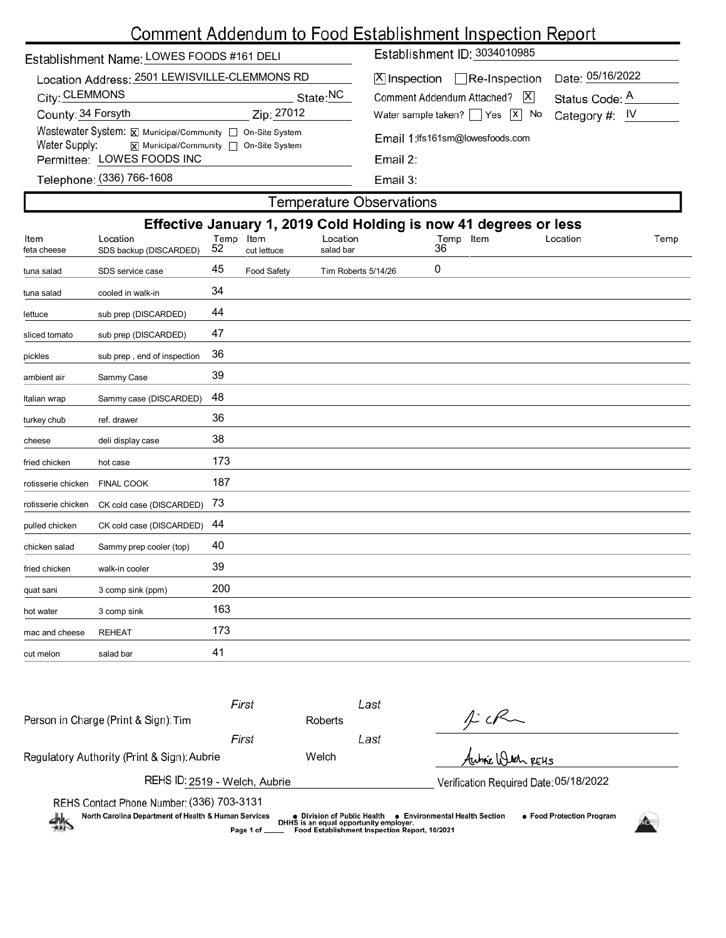# Comment Addendum to Food Establishment Inspection Report

| Establishment Name: LOWES FOODS #161 DELI                                                                                           | Establishment ID: 3034010985                                       |  |  |  |  |  |
|-------------------------------------------------------------------------------------------------------------------------------------|--------------------------------------------------------------------|--|--|--|--|--|
| Location Address: 2501 LEWISVILLE-CLEMMONS RD                                                                                       | Date: 05/16/2022<br>$ \mathsf{X} $ Inspection $\Box$ Re-Inspection |  |  |  |  |  |
| City: CLEMMONS<br>State:NC                                                                                                          | $ \mathsf{X} $<br>Comment Addendum Attached?<br>Status Code: A     |  |  |  |  |  |
| County: 34 Forsyth<br>Zip: 27012                                                                                                    | Water sample taken? $\Box$ Yes $\Box$ No<br>Category #: $IV$       |  |  |  |  |  |
| Wastewater System: X Municipal/Community   On-Site System<br>Water Supply: $\overline{x}$ Municipal/Community $\Box$ On-Site System | Email 1:lfs161sm@lowesfoods.com<br>Email $2$ :                     |  |  |  |  |  |
| Permittee: LOWES FOODS INC                                                                                                          |                                                                    |  |  |  |  |  |
| Telephone: (336) 766-1608                                                                                                           | Email $3:$                                                         |  |  |  |  |  |

| <b>Temperature Observations</b> |                                    |                 |                    |                                                                                           |                 |  |          |      |  |  |  |
|---------------------------------|------------------------------------|-----------------|--------------------|-------------------------------------------------------------------------------------------|-----------------|--|----------|------|--|--|--|
| Item<br>feta cheese             | Location<br>SDS backup (DISCARDED) | Temp Item<br>52 | cut lettuce        | Effective January 1, 2019 Cold Holding is now 41 degrees or less<br>Location<br>salad bar | Temp Item<br>36 |  | Location | Temp |  |  |  |
| tuna salad                      | SDS service case                   | 45              | <b>Food Safety</b> | Tim Roberts 5/14/26                                                                       | 0               |  |          |      |  |  |  |
| tuna salad                      | cooled in walk-in                  | 34              |                    |                                                                                           |                 |  |          |      |  |  |  |
| lettuce                         | sub prep (DISCARDED)               | 44              |                    |                                                                                           |                 |  |          |      |  |  |  |
| sliced tomato                   | sub prep (DISCARDED)               | 47              |                    |                                                                                           |                 |  |          |      |  |  |  |
| pickles                         | sub prep, end of inspection        | 36              |                    |                                                                                           |                 |  |          |      |  |  |  |
| ambient air                     | Sammy Case                         | 39              |                    |                                                                                           |                 |  |          |      |  |  |  |
| Italian wrap                    | Sammy case (DISCARDED)             | 48              |                    |                                                                                           |                 |  |          |      |  |  |  |
| turkey chub                     | ref. drawer                        | 36              |                    |                                                                                           |                 |  |          |      |  |  |  |
| cheese                          | deli display case                  | 38              |                    |                                                                                           |                 |  |          |      |  |  |  |
| fried chicken                   | hot case                           | 173             |                    |                                                                                           |                 |  |          |      |  |  |  |
| rotisserie chicken              | <b>FINAL COOK</b>                  | 187             |                    |                                                                                           |                 |  |          |      |  |  |  |
| rotisserie chicken              | CK cold case (DISCARDED)           | 73              |                    |                                                                                           |                 |  |          |      |  |  |  |
| pulled chicken                  | CK cold case (DISCARDED)           | 44              |                    |                                                                                           |                 |  |          |      |  |  |  |
| chicken salad                   | Sammy prep cooler (top)            | 40              |                    |                                                                                           |                 |  |          |      |  |  |  |
| fried chicken                   | walk-in cooler                     | 39              |                    |                                                                                           |                 |  |          |      |  |  |  |
| quat sani                       | 3 comp sink (ppm)                  | 200             |                    |                                                                                           |                 |  |          |      |  |  |  |
| hot water                       | 3 comp sink                        | 163             |                    |                                                                                           |                 |  |          |      |  |  |  |
| mac and cheese                  | <b>REHEAT</b>                      | 173             |                    |                                                                                           |                 |  |          |      |  |  |  |
| cut melon                       | salad bar                          | 41              |                    |                                                                                           |                 |  |          |      |  |  |  |
|                                 |                                    |                 |                    |                                                                                           |                 |  |          |      |  |  |  |

|                                                                                                                                                                                                                                                                                                                   | First |         | Last                                   |                   |  |  |  |  |
|-------------------------------------------------------------------------------------------------------------------------------------------------------------------------------------------------------------------------------------------------------------------------------------------------------------------|-------|---------|----------------------------------------|-------------------|--|--|--|--|
| Person in Charge (Print & Sign): Tim                                                                                                                                                                                                                                                                              |       | Roberts |                                        | $1-cf$            |  |  |  |  |
|                                                                                                                                                                                                                                                                                                                   | First |         | Last                                   |                   |  |  |  |  |
| Regulatory Authority (Print & Sign): Aubrie                                                                                                                                                                                                                                                                       |       | Welch   |                                        | Aubric Witch REHS |  |  |  |  |
| REHS ID: 2519 - Welch, Aubrie                                                                                                                                                                                                                                                                                     |       |         | Verification Required Date: 05/18/2022 |                   |  |  |  |  |
| REHS Contact Phone Number: (336) 703-3131<br>North Carolina Department of Health & Human Services<br>● Environmental Health Section<br>• Food Protection Program<br>● Division of Public Health<br>热<br>DHHS is an equal opportunity employer.<br>Food Establishment Inspection Report, 10/2021<br>Page 1 of ____ |       |         |                                        |                   |  |  |  |  |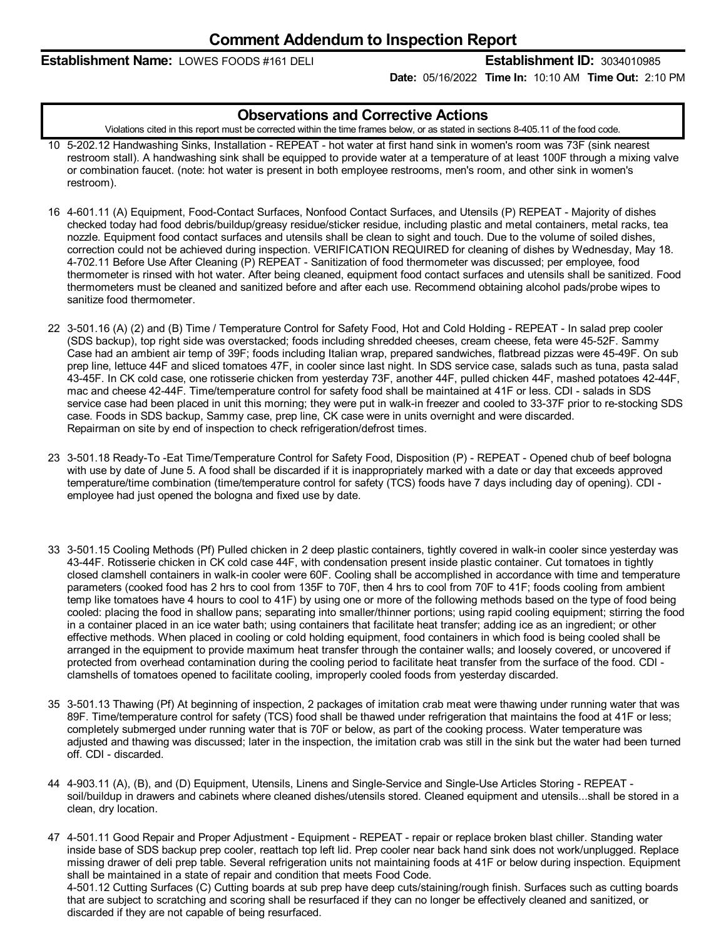### **Establishment Name:** LOWES FOODS #161 DELI **Establishment ID:** 3034010985

**Date:** 05/16/2022 **Time In:** 10:10 AM **Time Out:** 2:10 PM

#### **Observations and Corrective Actions**

Violations cited in this report must be corrected within the time frames below, or as stated in sections 8-405.11 of the food code.

- 10 5-202.12 Handwashing Sinks, Installation REPEAT hot water at first hand sink in women's room was 73F (sink nearest restroom stall). A handwashing sink shall be equipped to provide water at a temperature of at least 100F through a mixing valve or combination faucet. (note: hot water is present in both employee restrooms, men's room, and other sink in women's restroom).
- 16 4-601.11 (A) Equipment, Food-Contact Surfaces, Nonfood Contact Surfaces, and Utensils (P) REPEAT Majority of dishes checked today had food debris/buildup/greasy residue/sticker residue, including plastic and metal containers, metal racks, tea nozzle. Equipment food contact surfaces and utensils shall be clean to sight and touch. Due to the volume of soiled dishes, correction could not be achieved during inspection. VERIFICATION REQUIRED for cleaning of dishes by Wednesday, May 18. 4-702.11 Before Use After Cleaning (P) REPEAT - Sanitization of food thermometer was discussed; per employee, food thermometer is rinsed with hot water. After being cleaned, equipment food contact surfaces and utensils shall be sanitized. Food thermometers must be cleaned and sanitized before and after each use. Recommend obtaining alcohol pads/probe wipes to sanitize food thermometer.
- 22 3-501.16 (A) (2) and (B) Time / Temperature Control for Safety Food, Hot and Cold Holding REPEAT In salad prep cooler (SDS backup), top right side was overstacked; foods including shredded cheeses, cream cheese, feta were 45-52F. Sammy Case had an ambient air temp of 39F; foods including Italian wrap, prepared sandwiches, flatbread pizzas were 45-49F. On sub prep line, lettuce 44F and sliced tomatoes 47F, in cooler since last night. In SDS service case, salads such as tuna, pasta salad 43-45F. In CK cold case, one rotisserie chicken from yesterday 73F, another 44F, pulled chicken 44F, mashed potatoes 42-44F, mac and cheese 42-44F. Time/temperature control for safety food shall be maintained at 41F or less. CDI - salads in SDS service case had been placed in unit this morning; they were put in walk-in freezer and cooled to 33-37F prior to re-stocking SDS case. Foods in SDS backup, Sammy case, prep line, CK case were in units overnight and were discarded. Repairman on site by end of inspection to check refrigeration/defrost times.
- 23 3-501.18 Ready-To -Eat Time/Temperature Control for Safety Food, Disposition (P) REPEAT Opened chub of beef bologna with use by date of June 5. A food shall be discarded if it is inappropriately marked with a date or day that exceeds approved temperature/time combination (time/temperature control for safety (TCS) foods have 7 days including day of opening). CDI employee had just opened the bologna and fixed use by date.
- 33 3-501.15 Cooling Methods (Pf) Pulled chicken in 2 deep plastic containers, tightly covered in walk-in cooler since yesterday was 43-44F. Rotisserie chicken in CK cold case 44F, with condensation present inside plastic container. Cut tomatoes in tightly closed clamshell containers in walk-in cooler were 60F. Cooling shall be accomplished in accordance with time and temperature parameters (cooked food has 2 hrs to cool from 135F to 70F, then 4 hrs to cool from 70F to 41F; foods cooling from ambient temp like tomatoes have 4 hours to cool to 41F) by using one or more of the following methods based on the type of food being cooled: placing the food in shallow pans; separating into smaller/thinner portions; using rapid cooling equipment; stirring the food in a container placed in an ice water bath; using containers that facilitate heat transfer; adding ice as an ingredient; or other effective methods. When placed in cooling or cold holding equipment, food containers in which food is being cooled shall be arranged in the equipment to provide maximum heat transfer through the container walls; and loosely covered, or uncovered if protected from overhead contamination during the cooling period to facilitate heat transfer from the surface of the food. CDI clamshells of tomatoes opened to facilitate cooling, improperly cooled foods from yesterday discarded.
- 35 3-501.13 Thawing (Pf) At beginning of inspection, 2 packages of imitation crab meat were thawing under running water that was 89F. Time/temperature control for safety (TCS) food shall be thawed under refrigeration that maintains the food at 41F or less; completely submerged under running water that is 70F or below, as part of the cooking process. Water temperature was adjusted and thawing was discussed; later in the inspection, the imitation crab was still in the sink but the water had been turned off. CDI - discarded.
- 44 4-903.11 (A), (B), and (D) Equipment, Utensils, Linens and Single-Service and Single-Use Articles Storing REPEAT soil/buildup in drawers and cabinets where cleaned dishes/utensils stored. Cleaned equipment and utensils...shall be stored in a clean, dry location.
- 47 4-501.11 Good Repair and Proper Adjustment Equipment REPEAT repair or replace broken blast chiller. Standing water inside base of SDS backup prep cooler, reattach top left lid. Prep cooler near back hand sink does not work/unplugged. Replace missing drawer of deli prep table. Several refrigeration units not maintaining foods at 41F or below during inspection. Equipment shall be maintained in a state of repair and condition that meets Food Code. 4-501.12 Cutting Surfaces (C) Cutting boards at sub prep have deep cuts/staining/rough finish. Surfaces such as cutting boards that are subject to scratching and scoring shall be resurfaced ifthey can no longer be effectively cleaned and sanitized, or discarded if they are not capable of being resurfaced.